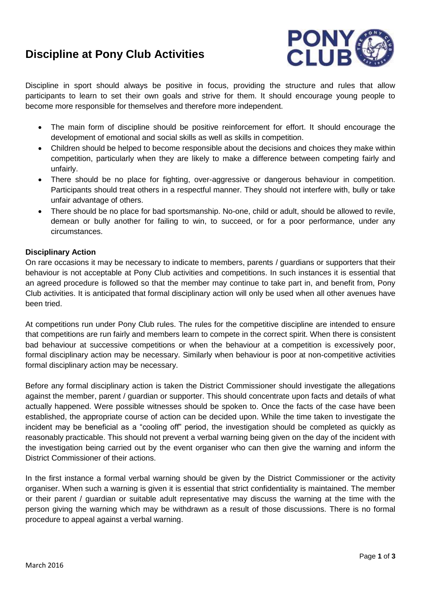# **Discipline at Pony Club Activities**



Discipline in sport should always be positive in focus, providing the structure and rules that allow participants to learn to set their own goals and strive for them. It should encourage young people to become more responsible for themselves and therefore more independent.

- The main form of discipline should be positive reinforcement for effort. It should encourage the development of emotional and social skills as well as skills in competition.
- Children should be helped to become responsible about the decisions and choices they make within competition, particularly when they are likely to make a difference between competing fairly and unfairly.
- There should be no place for fighting, over-aggressive or dangerous behaviour in competition. Participants should treat others in a respectful manner. They should not interfere with, bully or take unfair advantage of others.
- There should be no place for bad sportsmanship. No-one, child or adult, should be allowed to revile, demean or bully another for failing to win, to succeed, or for a poor performance, under any circumstances.

## **Disciplinary Action**

On rare occasions it may be necessary to indicate to members, parents / guardians or supporters that their behaviour is not acceptable at Pony Club activities and competitions. In such instances it is essential that an agreed procedure is followed so that the member may continue to take part in, and benefit from, Pony Club activities. It is anticipated that formal disciplinary action will only be used when all other avenues have been tried.

At competitions run under Pony Club rules. The rules for the competitive discipline are intended to ensure that competitions are run fairly and members learn to compete in the correct spirit. When there is consistent bad behaviour at successive competitions or when the behaviour at a competition is excessively poor, formal disciplinary action may be necessary. Similarly when behaviour is poor at non-competitive activities formal disciplinary action may be necessary.

Before any formal disciplinary action is taken the District Commissioner should investigate the allegations against the member, parent / guardian or supporter. This should concentrate upon facts and details of what actually happened. Were possible witnesses should be spoken to. Once the facts of the case have been established, the appropriate course of action can be decided upon. While the time taken to investigate the incident may be beneficial as a "cooling off" period, the investigation should be completed as quickly as reasonably practicable. This should not prevent a verbal warning being given on the day of the incident with the investigation being carried out by the event organiser who can then give the warning and inform the District Commissioner of their actions.

In the first instance a formal verbal warning should be given by the District Commissioner or the activity organiser. When such a warning is given it is essential that strict confidentiality is maintained. The member or their parent / guardian or suitable adult representative may discuss the warning at the time with the person giving the warning which may be withdrawn as a result of those discussions. There is no formal procedure to appeal against a verbal warning.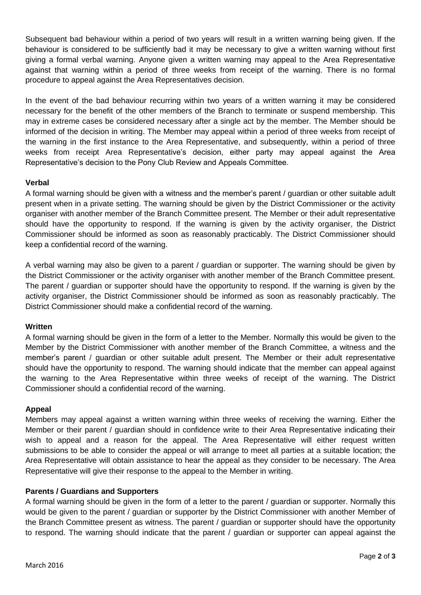Subsequent bad behaviour within a period of two years will result in a written warning being given. If the behaviour is considered to be sufficiently bad it may be necessary to give a written warning without first giving a formal verbal warning. Anyone given a written warning may appeal to the Area Representative against that warning within a period of three weeks from receipt of the warning. There is no formal procedure to appeal against the Area Representatives decision.

In the event of the bad behaviour recurring within two years of a written warning it may be considered necessary for the benefit of the other members of the Branch to terminate or suspend membership. This may in extreme cases be considered necessary after a single act by the member. The Member should be informed of the decision in writing. The Member may appeal within a period of three weeks from receipt of the warning in the first instance to the Area Representative, and subsequently, within a period of three weeks from receipt Area Representative's decision, either party may appeal against the Area Representative's decision to the Pony Club Review and Appeals Committee.

## **Verbal**

A formal warning should be given with a witness and the member's parent / guardian or other suitable adult present when in a private setting. The warning should be given by the District Commissioner or the activity organiser with another member of the Branch Committee present. The Member or their adult representative should have the opportunity to respond. If the warning is given by the activity organiser, the District Commissioner should be informed as soon as reasonably practicably. The District Commissioner should keep a confidential record of the warning.

A verbal warning may also be given to a parent / guardian or supporter. The warning should be given by the District Commissioner or the activity organiser with another member of the Branch Committee present. The parent / guardian or supporter should have the opportunity to respond. If the warning is given by the activity organiser, the District Commissioner should be informed as soon as reasonably practicably. The District Commissioner should make a confidential record of the warning.

## **Written**

A formal warning should be given in the form of a letter to the Member. Normally this would be given to the Member by the District Commissioner with another member of the Branch Committee, a witness and the member's parent / guardian or other suitable adult present. The Member or their adult representative should have the opportunity to respond. The warning should indicate that the member can appeal against the warning to the Area Representative within three weeks of receipt of the warning. The District Commissioner should a confidential record of the warning.

# **Appeal**

Members may appeal against a written warning within three weeks of receiving the warning. Either the Member or their parent / guardian should in confidence write to their Area Representative indicating their wish to appeal and a reason for the appeal. The Area Representative will either request written submissions to be able to consider the appeal or will arrange to meet all parties at a suitable location; the Area Representative will obtain assistance to hear the appeal as they consider to be necessary. The Area Representative will give their response to the appeal to the Member in writing.

# **Parents / Guardians and Supporters**

A formal warning should be given in the form of a letter to the parent / guardian or supporter. Normally this would be given to the parent / guardian or supporter by the District Commissioner with another Member of the Branch Committee present as witness. The parent / guardian or supporter should have the opportunity to respond. The warning should indicate that the parent / guardian or supporter can appeal against the